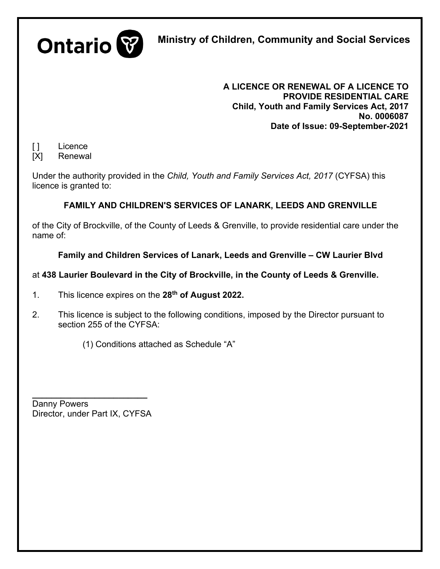

**Ministry of Children, Community and Social Services**

**A LICENCE OR RENEWAL OF A LICENCE TO PROVIDE RESIDENTIAL CARE Child, Youth and Family Services Act, 2017 No. 0006087 Date of Issue: 09-September-2021** 

[ ] Licence

[X] Renewal

Under the authority provided in the *Child, Youth and Family Services Act, 2017* (CYFSA) this licence is granted to:

# **FAMILY AND CHILDREN'S SERVICES OF LANARK, LEEDS AND GRENVILLE**

of the City of Brockville, of the County of Leeds & Grenville, to provide residential care under the name of:

**Family and Children Services of Lanark, Leeds and Grenville – CW Laurier Blvd**

## at **438 Laurier Boulevard in the City of Brockville, in the County of Leeds & Grenville.**

- 1. This licence expires on the **28th of August 2022.**
- 2. This licence is subject to the following conditions, imposed by the Director pursuant to section 255 of the CYFSA:

(1) Conditions attached as Schedule "A"

**\_\_\_\_\_\_\_\_\_\_\_\_\_\_\_\_\_\_\_\_\_\_\_\_** Danny Powers Director, under Part IX, CYFSA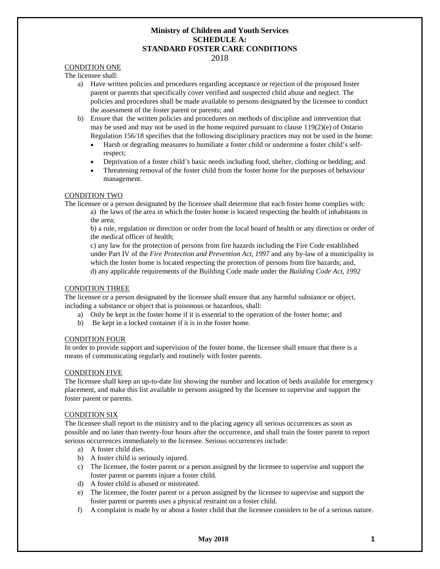## **Ministry of Children and Youth Services SCHEDULE A: STANDARD FOSTER CARE CONDITIONS**

#### 2018

## CONDITION ONE

The licensee shall:

- a) Have written policies and procedures regarding acceptance or rejection of the proposed foster parent or parents that specifically cover verified and suspected child abuse and neglect. The policies and procedures shall be made available to persons designated by the licensee to conduct the assessment of the foster parent or parents; and
- b) Ensure that the written policies and procedures on methods of discipline and intervention that may be used and may not be used in the home required pursuant to clause  $119(2)(e)$  of Ontario Regulation 156/18 specifies that the following disciplinary practices may not be used in the home:
	- Harsh or degrading measures to humiliate a foster child or undermine a foster child's selfrespect;
	- Deprivation of a foster child's basic needs including food, shelter, clothing or bedding; and
	- Threatening removal of the foster child from the foster home for the purposes of behaviour management.

### CONDITION TWO

The licensee or a person designated by the licensee shall determine that each foster home complies with: a) the laws of the area in which the foster home is located respecting the health of inhabitants in the area;

b) a rule, regulation or direction or order from the local board of health or any direction or order of the medical officer of health;

c) any law for the protection of persons from fire hazards including the Fire Code established under Part IV of the *Fire Protection and Prevention Act, 1997* and any by-law of a municipality in which the foster home is located respecting the protection of persons from fire hazards; and, d) any applicable requirements of the Building Code made under the *Building Code Act, 1992*

#### CONDITION THREE

The licensee or a person designated by the licensee shall ensure that any harmful substance or object, including a substance or object that is poisonous or hazardous, shall:

- a) Only be kept in the foster home if it is essential to the operation of the foster home; and
- b) Be kept in a locked container if it is in the foster home.

## CONDITION FOUR

In order to provide support and supervision of the foster home, the licensee shall ensure that there is a means of communicating regularly and routinely with foster parents.

## CONDITION FIVE

The licensee shall keep an up-to-date list showing the number and location of beds available for emergency placement, and make this list available to persons assigned by the licensee to supervise and support the foster parent or parents.

## CONDITION SIX

The licensee shall report to the ministry and to the placing agency all serious occurrences as soon as possible and no later than twenty-four hours after the occurrence, and shall train the foster parent to report serious occurrences immediately to the licensee. Serious occurrences include:

- a) A foster child dies.
- b) A foster child is seriously injured.
- c) The licensee, the foster parent or a person assigned by the licensee to supervise and support the foster parent or parents injure a foster child.
- d) A foster child is abused or mistreated.
- e) The licensee, the foster parent or a person assigned by the licensee to supervise and support the foster parent or parents uses a physical restraint on a foster child.
- f) A complaint is made by or about a foster child that the licensee considers to be of a serious nature.